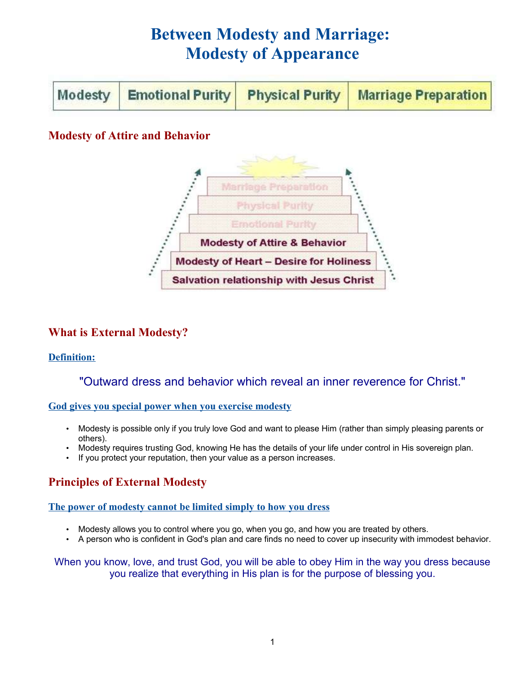# **Between Modesty and Marriage: Modesty of Appearance**

| Modesty   Emotional Purity   Physical Purity   Marriage Preparation |  |
|---------------------------------------------------------------------|--|
|---------------------------------------------------------------------|--|

# **Modesty of Attire and Behavior**



## **What is External Modesty?**

## **Definition:**

## "Outward dress and behavior which reveal an inner reverence for Christ."

**God gives you special power when you exercise modesty**

- Modesty is possible only if you truly love God and want to please Him (rather than simply pleasing parents or others).
- Modesty requires trusting God, knowing He has the details of your life under control in His sovereign plan.
- If you protect your reputation, then your value as a person increases.

# **Principles of External Modesty**

#### **The power of modesty cannot be limited simply to how you dress**

- Modesty allows you to control where you go, when you go, and how you are treated by others.
- A person who is confident in God's plan and care finds no need to cover up insecurity with immodest behavior.

When you know, love, and trust God, you will be able to obey Him in the way you dress because you realize that everything in His plan is for the purpose of blessing you.